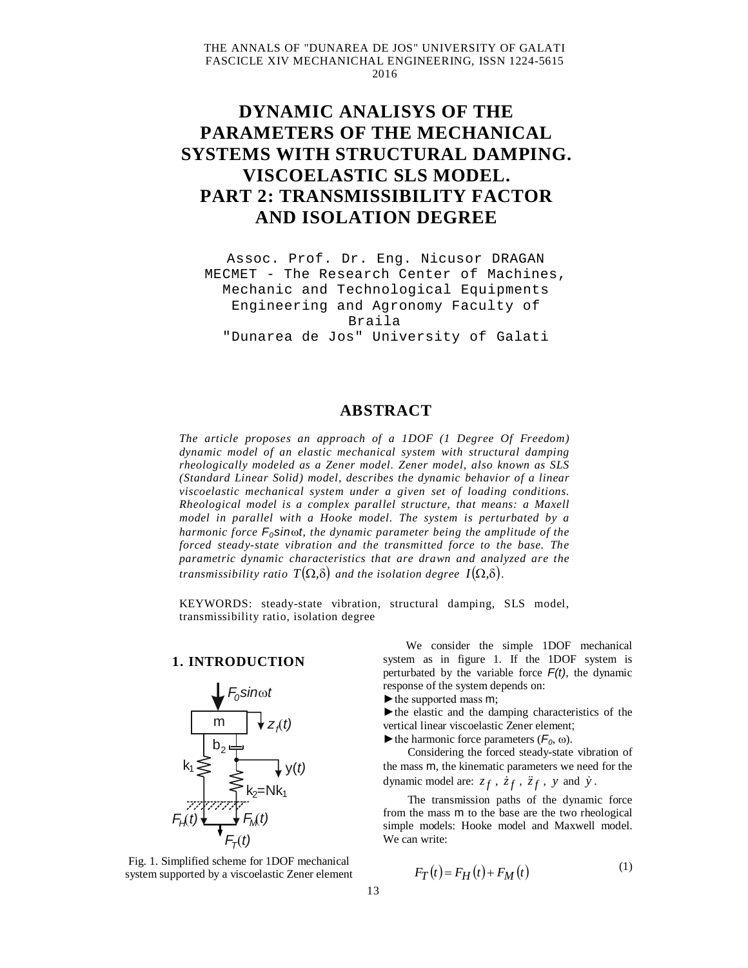# **DYNAMIC ANALISYS OF THE PARAMETERS OF THE MECHANICAL SYSTEMS WITH STRUCTURAL DAMPING. VISCOELASTIC SLS MODEL. PART 2: TRANSMISSIBILITY FACTOR AND ISOLATION DEGREE**

Assoc. Prof. Dr. Eng. Nicusor DRAGAN MECMET - The Research Center of Machines, Mechanic and Technological Equipments Engineering and Agronomy Faculty of Braila "Dunarea de Jos" University of Galati

## **ABSTRACT**

*The article proposes an approach of a 1DOF (1 Degree Of Freedom) dynamic model of an elastic mechanical system with structural damping rheologically modeled as a Zener model. Zener model, also known as SLS (Standard Linear Solid) model, describes the dynamic behavior of a linear viscoelastic mechanical system under a given set of loading conditions. Rheological model is a complex parallel structure, that means: a Maxell model in parallel with a Hooke model. The system is perturbated by a harmonic force F0sint, the dynamic parameter being the amplitude of the forced steady-state vibration and the transmitted force to the base. The parametric dynamic characteristics that are drawn and analyzed are the transmissibility ratio*  $T(\Omega,\delta)$  *and the isolation degree*  $I(\Omega,\delta)$ *.* 

KEYWORDS: steady-state vibration, structural damping, SLS model, transmissibility ratio, isolation degree

#### **1. INTRODUCTION**



Fig. 1. Simplified scheme for 1DOF mechanical system supported by a viscoelastic Zener element

We consider the simple 1DOF mechanical system as in figure 1. If the 1DOF system is perturbated by the variable force  $F(t)$ , the dynamic response of the system depends on:

►the supported mass m;

►the elastic and the damping characteristics of the vertical linear viscoelastic Zener element;

 $\blacktriangleright$  the harmonic force parameters ( $F_0$ ,  $\omega$ ).

Considering the forced steady-state vibration of the mass m, the kinematic parameters we need for the dynamic model are:  $z_f$ ,  $\dot{z}_f$ ,  $\ddot{z}_f$ ,  $y$  and  $\dot{y}$ .

The transmission paths of the dynamic force from the mass m to the base are the two rheological simple models: Hooke model and Maxwell model. We can write:

$$
F_T(t) = F_H(t) + F_M(t)
$$
\n<sup>(1)</sup>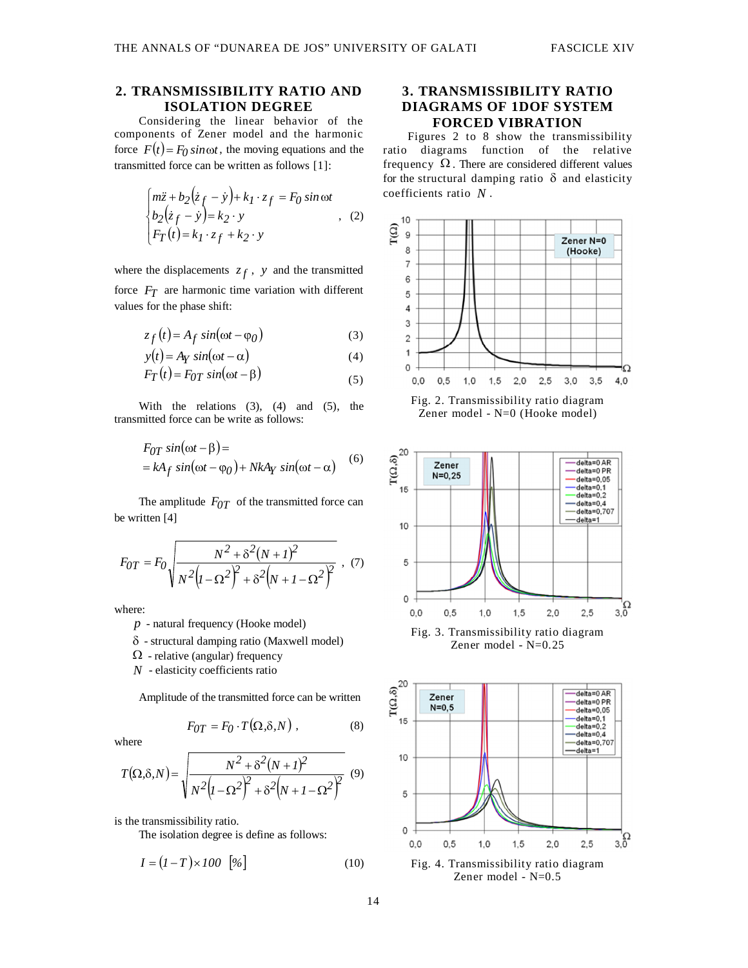#### **2. TRANSMISSIBILITY RATIO AND ISOLATION DEGREE**

Considering the linear behavior of the components of Zener model and the harmonic force  $F(t) = F_0 \sin \omega t$ , the moving equations and the transmitted force can be written as follows [1]:

$$
\begin{cases}\nm\ddot{z} + b_2(\dot{z}_f - \dot{y}) + k_1 \cdot z_f = F_0 \sin \omega t \\
b_2(\dot{z}_f - \dot{y}) = k_2 \cdot y \\
F_T(t) = k_1 \cdot z_f + k_2 \cdot y\n\end{cases}
$$
, (2)

where the displacements  $z_f$ ,  $y$  and the transmitted force *FT* are harmonic time variation with different values for the phase shift:

$$
z_f(t) = A_f \sin(\omega t - \varphi_0)
$$
 (3)

$$
y(t) = A_Y \sin(\omega t - \alpha)
$$
 (4)

$$
F_T(t) = F_{0T} \sin(\omega t - \beta) \tag{5}
$$

With the relations  $(3)$ ,  $(4)$  and  $(5)$ , the transmitted force can be write as follows:

$$
F_{OT} \sin(\omega t - \beta) =
$$
  
= kA<sub>f</sub> sin(\omega t - \varphi\_0) + NkA<sub>Y</sub> sin(\omega t - \alpha) (6)

The amplitude  $F_{0T}$  of the transmitted force can be written [4]

$$
F_{OT} = F_0 \sqrt{\frac{N^2 + \delta^2 (N + I)^2}{N^2 (I - \Omega^2)^2 + \delta^2 (N + I - \Omega^2)^2}} ,
$$
 (7)

where:

- *p* natural frequency (Hooke model)
- $\delta$  structural damping ratio (Maxwell model)
- $\Omega$  relative (angular) frequency
- *N* elasticity coefficients ratio

Amplitude of the transmitted force can be written

$$
F_{0T} = F_0 \cdot T(\Omega, \delta, N) , \qquad (8)
$$

where

$$
T(\Omega,\delta,N) = \sqrt{\frac{N^2 + \delta^2 (N+1)^2}{N^2 (I - \Omega^2)^2 + \delta^2 (N+1-\Omega^2)^2}}
$$
(9)

is the transmissibility ratio.

The isolation degree is define as follows:

$$
I = (I - T) \times 100 \quad [%]
$$
 (10)

### **3. TRANSMISSIBILITY RATIO DIAGRAMS OF 1DOF SYSTEM FORCED VIBRATION**

Figures 2 to 8 show the transmissibility ratio diagrams function of the relative frequency  $\Omega$ . There are considered different values for the structural damping ratio  $\delta$  and elasticity coefficients ratio *N* .



Zener model - N=0 (Hooke model)



Zener model - N=0.25

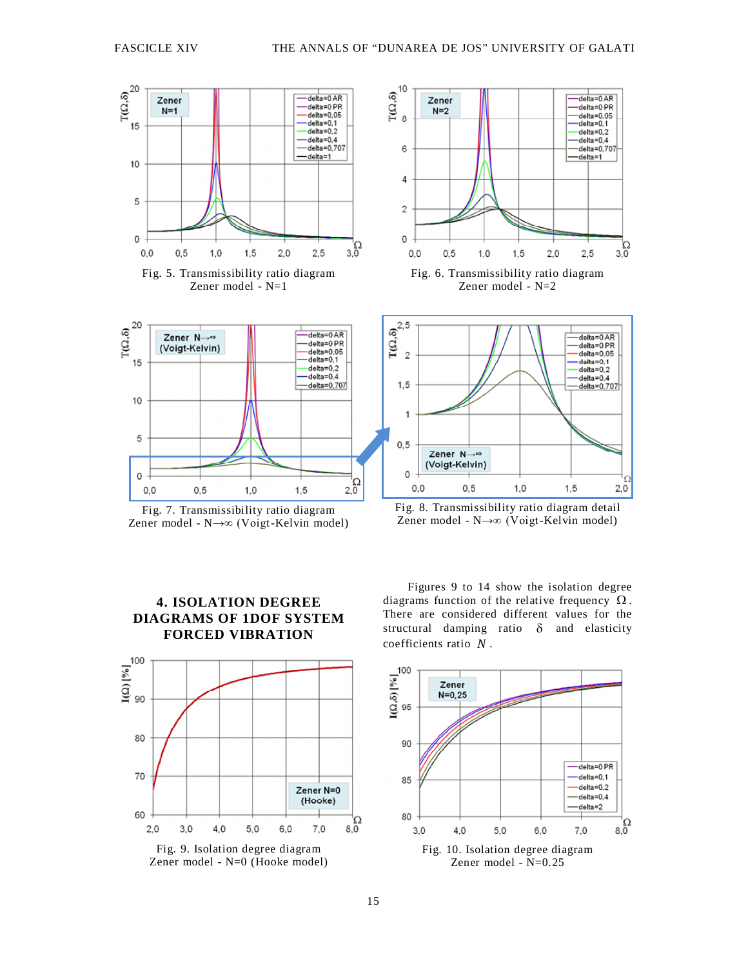



Fig. 7. Transmissibility ratio diagram Zener model - N→∞ (Voigt-Kelvin model)







Fig. 8. Transmissibility ratio diagram detail Zener model - N→∞ (Voigt-Kelvin model)

 $1.0$ 

 $1.5$ 

Zener  $N \rightarrow \infty$ (Voigt-Kelvin)

 $0.5$ 

 $\mathbf 0$ 

 $0.0$ 

 $\frac{1}{3.0}$ 

 $2.0$ 

Figures 9 to 14 show the isolation degree diagrams function of the relative frequency  $\Omega$ . There are considered different values for the structural damping ratio  $\delta$  and elasticity coefficients ratio *N* .